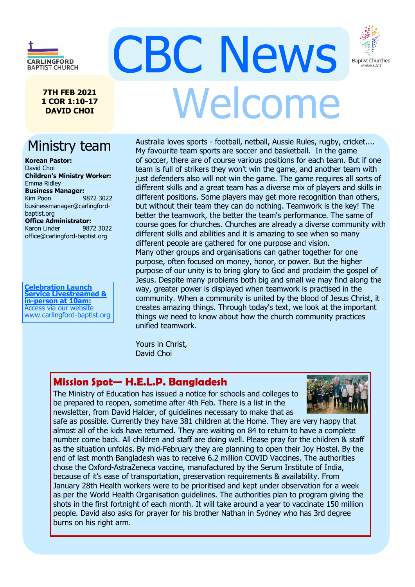

**7TH FEB 2021 1 COR 1:10-17 DAVID CHOI**

# Ministry team

**Korean Pastor:** David Choi **Children's Ministry Worker:** Emma Ridley **Business Manager:** Kim Poon 9872 3022 businessmanager@carlingfordbaptist.org **Office Administrator:**  Karon Linder9872 3022 office@carlingford-baptist.org

**Celebration Launch Service Livestreamed & in-person at 10am:** Access via our website www.carlingford-baptist.org

# CBC News Welcome

Australia loves sports - football, netball, Aussie Rules, rugby, cricket.... My favourite team sports are soccer and basketball. In the game of soccer, there are of course various positions for each team. But if one team is full of strikers they won't win the game, and another team with just defenders also will not win the game. The game requires all sorts of different skills and a great team has a diverse mix of players and skills in different positions. Some players may get more recognition than others, but without their team they can do nothing. Teamwork is the key! The better the teamwork, the better the team's performance. The same of course goes for churches. Churches are already a diverse community with different skills and abilities and it is amazing to see when so many different people are gathered for one purpose and vision. Many other groups and organisations can gather together for one purpose, often focused on money, honor, or power. But the higher purpose of our unity is to bring glory to God and proclaim the gospel of Jesus. Despite many problems both big and small we may find along the way, greater power is displayed when teamwork is practised in the community. When a community is united by the blood of Jesus Christ, it creates amazing things. Through today's text, we look at the important things we need to know about how the church community practices unified teamwork.

Yours in Christ, David Choi

## **Mission Spot— H.E.L.P. Bangladesh**

The Ministry of Education has issued a notice for schools and colleges to be prepared to reopen, sometime after 4th Feb. There is a list in the newsletter, from David Halder, of guidelines necessary to make that as



**Baptist Churches** 

of NSW & ACT

people. David also asks for prayer for his brother Nathan in Sydney who has 3rd degree safe as possible. Currently they have 381 children at the Home. They are very happy that almost all of the kids have returned. They are waiting on 84 to return to have a complete number come back. All children and staff are doing well. Please pray for the children & staff as the situation unfolds. By mid-February they are planning to open their Joy Hostel. By the end of last month Bangladesh was to receive 6.2 million COVID Vaccines. The authorities chose the Oxford-AstraZeneca vaccine, manufactured by the Serum Institute of India, because of it's ease of transportation, preservation requirements & availability. From January 28th Health workers were to be prioritised and kept under observation for a week as per the World Health Organisation guidelines. The authorities plan to program giving the shots in the first fortnight of each month. It will take around a year to vaccinate 150 million burns on his right arm.